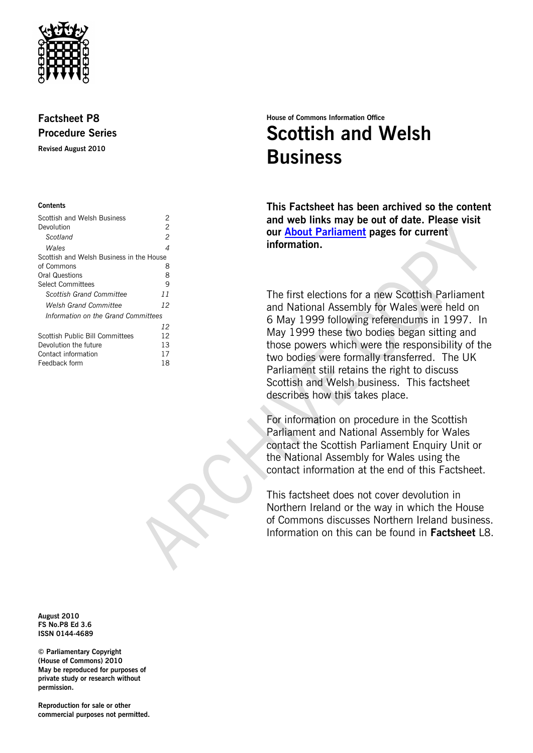

# **Factsheet P8 Procedure Series**

**Revised August 2010**

### **Contents**

| Scottish and Welsh Business              | 2  |
|------------------------------------------|----|
| Devolution                               | 2  |
| Scotland                                 | 2  |
| Wales                                    | 4  |
| Scottish and Welsh Business in the House |    |
| of Commons                               | 8  |
| <b>Oral Questions</b>                    | 8  |
| Select Committees                        | 9  |
| Scottish Grand Committee                 | 11 |
| Welsh Grand Committee                    | 12 |
| Information on the Grand Committees      |    |
|                                          | 12 |
| Scottish Public Bill Committees          | 12 |
| Devolution the future                    | 13 |
| Contact information                      | 17 |
| Feedback form                            | 18 |

# **House of Commons Information Office Scottish and Welsh Business**

**This Factsheet has been archived so the content and web links may be out of date. Please visit our [About Parliament](http://www.parliament.uk/about/) pages for current information.**

The first elections for a new Scottish Parliament and National Assembly for Wales were held on 6 May 1999 following referendums in 1997. In May 1999 these two bodies began sitting and those powers which were the responsibility of the two bodies were formally transferred. The UK Parliament still retains the right to discuss Scottish and Welsh business. This factsheet describes how this takes place.

For information on procedure in the Scottish Parliament and National Assembly for Wales contact the Scottish Parliament Enquiry Unit or the National Assembly for Wales using the contact information at the end of this Factsheet.

This factsheet does not cover devolution in Northern Ireland or the way in which the House of Commons discusses Northern Ireland business. Information on this can be found in **Factsheet** L8.

**August 2010 FS No.P8 Ed 3.6 ISSN 0144-4689**

**© Parliamentary Copyright (House of Commons) 2010 May be reproduced for purposes of private study or research without permission.** 

**Reproduction for sale or other commercial purposes not permitted.**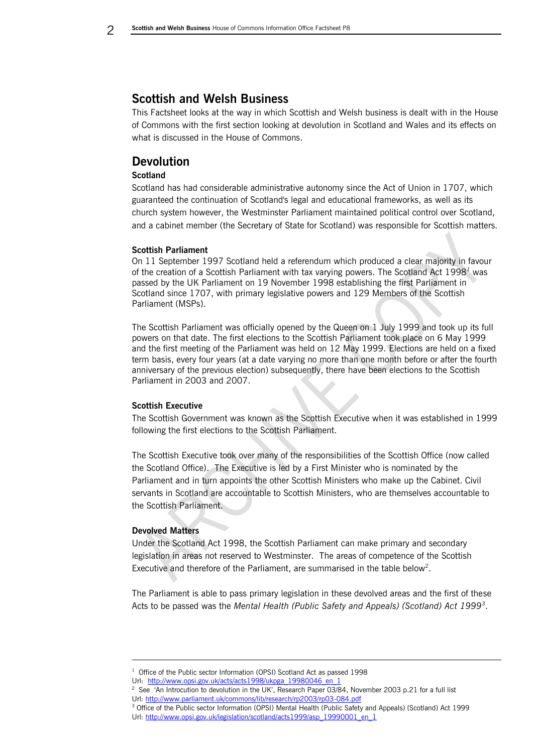# <span id="page-1-0"></span>**Scottish and Welsh Business**

This Factsheet looks at the way in which Scottish and Welsh business is dealt with in the House of Commons with the first section looking at devolution in Scotland and Wales and its effects on what is discussed in the House of Commons.

# <span id="page-1-1"></span>**Devolution**

# <span id="page-1-2"></span>**Scotland**

Scotland has had considerable administrative autonomy since the Act of Union in 1707, which guaranteed the continuation of Scotland's legal and educational frameworks, as well as its church system however, the Westminster Parliament maintained political control over Scotland, and a cabinet member (the Secretary of State for Scotland) was responsible for Scottish matters.

# **Scottish Parliament**

On 11 September 1997 Scotland held a referendum which produced a clear majority in favour of the creation of a Scottish Parliament with tax varying powers. The Scotland Act 1998*<sup>1</sup>* was passed by the UK Parliament on 19 November 1998 establishing the first Parliament in Scotland since 1707, with primary legislative powers and 129 Members of the Scottish Parliament (MSPs).

The Scottish Parliament was officially opened by the Queen on 1 July 1999 and took up its full powers on that date. The first elections to the Scottish Parliament took place on 6 May 1999 and the first meeting of the Parliament was held on 12 May 1999. Elections are held on a fixed term basis, every four years (at a date varying no more than one month before or after the fourth anniversary of the previous election) subsequently, there have been elections to the Scottish Parliament in 2003 and 2007.

# **Scottish Executive**

The Scottish Government was known as the Scottish Executive when it was established in 1999 following the first elections to the Scottish Parliament.

The Scottish Executive took over many of the responsibilities of the Scottish Office (now called the Scotland Office). The Executive is led by a First Minister who is nominated by the Parliament and in turn appoints the other Scottish Ministers who make up the Cabinet. Civil servants in Scotland are accountable to Scottish Ministers, who are themselves accountable to the Scottish Parliament.

### **Devolved Matters**

-

Under the Scotland Act 1998, the Scottish Parliament can make primary and secondary legislation in areas not reserved to Westminster. The areas of competence of the Scottish Executive and therefore of the Parliament, are summarised in the table below<sup>2</sup>.

The Parliament is able to pass primary legislation in these devolved areas and the first of these Acts to be passed was the *Mental Health (Public Safety and Appeals) (Scotland) Act 1999<sup>3</sup>* .

<sup>1</sup> Office of the Public sector Information (OPSI) Scotland Act as passed 1998

Url: [http://www.opsi.gov.uk/acts/acts1998/ukpga\\_19980046\\_en\\_1](http://www.opsi.gov.uk/acts/acts1998/ukpga_19980046_en_1)

<sup>2</sup> See 'An Introcution to devolution in the UK', Research Paper 03/84, November 2003 p.21 for a full list Url: <http://www.parliament.uk/commons/lib/research/rp2003/rp03-084.pdf>

<sup>3</sup> Office of the Public sector Information (OPSI) Mental Health (Public Safety and Appeals) (Scotland) Act 1999 Url[: http://www.opsi.gov.uk/legislation/scotland/acts1999/asp\\_19990001\\_en\\_1](http://www.opsi.gov.uk/legislation/scotland/acts1999/asp_19990001_en_1)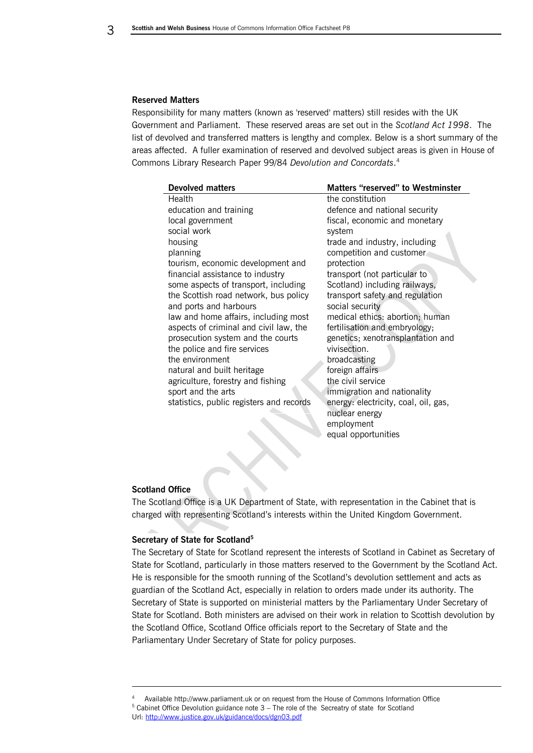#### **Reserved Matters**

Responsibility for many matters (known as 'reserved' matters) still resides with the UK Government and Parliament. These reserved areas are set out in the *Scotland Act 1998*. The list of devolved and transferred matters is lengthy and complex. Below is a short summary of the areas affected. A fuller examination of reserved and devolved subject areas is given in House of Commons Library Research Paper 99/84 *Devolution and Concordats*. 4

| <b>Devolved matters</b>                  | <b>Matters "reserved" to Westminster</b> |
|------------------------------------------|------------------------------------------|
| Health                                   | the constitution                         |
| education and training                   | defence and national security            |
| local government                         | fiscal, economic and monetary            |
| social work                              | system                                   |
| housing                                  | trade and industry, including            |
| planning                                 | competition and customer.                |
| tourism, economic development and        | protection                               |
| financial assistance to industry         | transport (not particular to             |
| some aspects of transport, including     | Scotland) including railways,            |
| the Scottish road network, bus policy    | transport safety and regulation          |
| and ports and harbours                   | social security                          |
| law and home affairs, including most     | medical ethics: abortion; human          |
| aspects of criminal and civil law, the   | fertilisation and embryology;            |
| prosecution system and the courts        | genetics; xenotransplantation and        |
| the police and fire services             | vivisection.                             |
| the environment                          | broadcasting                             |
| natural and built heritage               | foreign affairs                          |
| agriculture, forestry and fishing        | the civil service                        |
| sport and the arts                       | immigration and nationality              |
| statistics, public registers and records | energy: electricity, coal, oil, gas,     |
|                                          | nuclear energy                           |
|                                          | employment                               |
|                                          | equal opportunities                      |

### **Scotland Office**

-

The Scotland Office is a UK Department of State, with representation in the Cabinet that is charged with representing Scotland's interests within the United Kingdom Government.

### **Secretary of State for Scotland<sup>5</sup>**

The Secretary of State for Scotland represent the interests of Scotland in Cabinet as Secretary of State for Scotland, particularly in those matters reserved to the Government by the Scotland Act. He is responsible for the smooth running of the Scotland's devolution settlement and acts as guardian of the Scotland Act, especially in relation to orders made under its authority. The Secretary of State is supported on ministerial matters by the Parliamentary Under Secretary of State for Scotland. Both ministers are advised on their work in relation to Scottish devolution by the Scotland Office, Scotland Office officials report to the Secretary of State and the Parliamentary Under Secretary of State for policy purposes.

<sup>4</sup> Available http://www.parliament.uk or on request from the House of Commons Information Office  $5$  Cabinet Office Devolution guidance note  $3$  – The role of the Secreatry of state for Scotland Url[: http://www.justice.gov.uk/guidance/docs/dgn03.pdf](http://www.justice.gov.uk/guidance/docs/dgn03.pdf)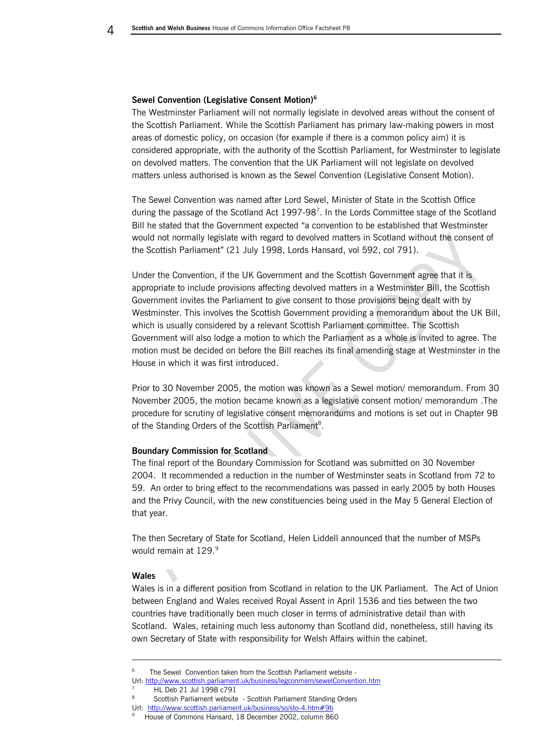#### **Sewel Convention (Legislative Consent Motion)<sup>6</sup>**

The Westminster Parliament will not normally legislate in devolved areas without the consent of the Scottish Parliament. While the Scottish Parliament has primary law-making powers in most areas of domestic policy, on occasion (for example if there is a common policy aim) it is considered appropriate, with the authority of the Scottish Parliament, for Westminster to legislate on devolved matters. The convention that the UK Parliament will not legislate on devolved matters unless authorised is known as the Sewel Convention (Legislative Consent Motion).

The Sewel Convention was named after Lord Sewel, Minister of State in the Scottish Office during the passage of the Scotland Act 1997-98<sup>7</sup>. In the Lords Committee stage of the Scotland Bill he stated that the Government expected "a convention to be established that Westminster would not normally legislate with regard to devolved matters in Scotland without the consent of the Scottish Parliament" (21 July 1998, Lords Hansard, vol 592, col 791).

Under the Convention, if the UK Government and the Scottish Government agree that it is appropriate to include provisions affecting devolved matters in a Westminster Bill, the Scottish Government invites the Parliament to give consent to those provisions being dealt with by Westminster. This involves the Scottish Government providing a memorandum about the UK Bill, which is usually considered by a relevant Scottish Parliament committee. The Scottish Government will also lodge a motion to which the Parliament as a whole is invited to agree. The motion must be decided on before the Bill reaches its final amending stage at Westminster in the House in which it was first introduced.

Prior to 30 November 2005, the motion was known as a Sewel motion/ memorandum. From 30 November 2005, the motion became known as a legislative consent motion/ memorandum .The procedure for scrutiny of legislative consent memorandums and motions is set out in Chapter 9B of the Standing Orders of the Scottish Parliament<sup>8</sup>.

### **Boundary Commission for Scotland**

The final report of the Boundary Commission for Scotland was submitted on 30 November 2004. It recommended a reduction in the number of Westminster seats in Scotland from 72 to 59. An order to bring effect to the recommendations was passed in early 2005 by both Houses and the Privy Council, with the new constituencies being used in the May 5 General Election of that year.

The then Secretary of State for Scotland, Helen Liddell announced that the number of MSPs would remain at 129.9

### <span id="page-3-0"></span>**Wales**

-

Wales is in a different position from Scotland in relation to the UK Parliament. The Act of Union between England and Wales received Royal Assent in April 1536 and ties between the two countries have traditionally been much closer in terms of administrative detail than with Scotland. Wales, retaining much less autonomy than Scotland did, nonetheless, still having its own Secretary of State with responsibility for Welsh Affairs within the cabinet.

Url: [http://www.scottish.parliament.uk/business/so/sto-4.htm#9b](http://www.scottish.parliament.uk/business/so/sto-4.htm%239b)

<sup>6</sup> The Sewel Convention taken from the Scottish Parliament website -

Url[: http://www.scottish.parliament.uk/business/legconmem/sewelConvention.htm](http://www.scottish.parliament.uk/business/legconmem/sewelConvention.htm) 7 HL Deb 21 Jul 1998 c791

<sup>8</sup> Scottish Parliament website - Scottish Parliament Standing Orders

<sup>9</sup> House of Commons Hansard, 18 December 2002, column 860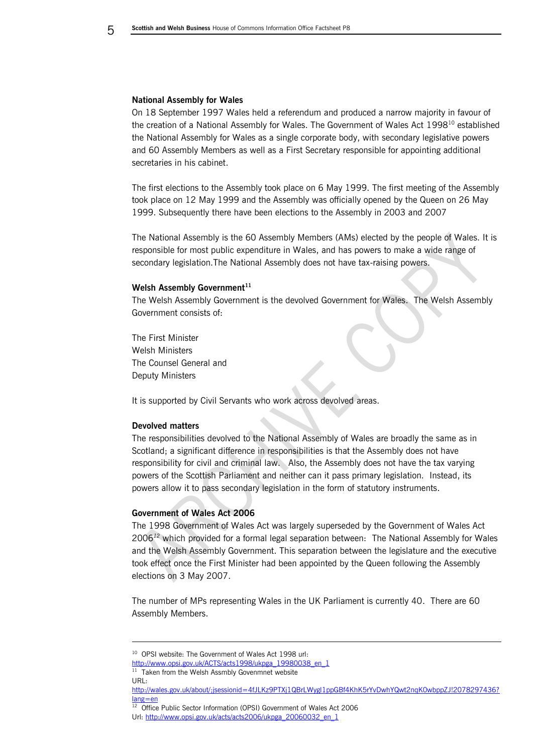#### **National Assembly for Wales**

On 18 September 1997 Wales held a referendum and produced a narrow majority in favour of the creation of a National Assembly for Wales. The Government of Wales Act 1998<sup>10</sup> established the National Assembly for Wales as a single corporate body, with secondary legislative powers and 60 Assembly Members as well as a First Secretary responsible for appointing additional secretaries in his cabinet.

The first elections to the Assembly took place on 6 May 1999. The first meeting of the Assembly took place on 12 May 1999 and the Assembly was officially opened by the Queen on 26 May 1999. Subsequently there have been elections to the Assembly in 2003 and 2007

The National Assembly is the 60 Assembly Members (AMs) elected by the people of Wales. It is responsible for most public expenditure in Wales, and has powers to make a wide range of secondary legislation.The National Assembly does not have tax-raising powers.

### **Welsh Assembly Government<sup>11</sup>**

The Welsh Assembly Government is the devolved Government for Wales. The Welsh Assembly Government consists of:

The First Minister Welsh Ministers The Counsel General and Deputy Ministers

It is supported by Civil Servants who work across devolved areas.

### **Devolved matters**

The responsibilities devolved to the National Assembly of Wales are broadly the same as in Scotland; a significant difference in responsibilities is that the Assembly does not have responsibility for civil and criminal law. Also, the Assembly does not have the tax varying powers of the Scottish Parliament and neither can it pass primary legislation. Instead, its powers allow it to pass secondary legislation in the form of statutory instruments.

### **Government of Wales Act 2006**

The 1998 Government of Wales Act was largely superseded by the Government of Wales Act 2006*<sup>12</sup>* which provided for a formal legal separation between: The National Assembly for Wales and the Welsh Assembly Government. This separation between the legislature and the executive took effect once the First Minister had been appointed by the Queen following the Assembly elections on 3 May 2007.

The number of MPs representing Wales in the UK Parliament is currently 40. There are 60 Assembly Members.

-

<sup>&</sup>lt;sup>10</sup> OPSI website: The Government of Wales Act 1998 url:

[http://www.opsi.gov.uk/ACTS/acts1998/ukpga\\_19980038\\_en\\_1](http://www.opsi.gov.uk/ACTS/acts1998/ukpga_19980038_en_1)

<sup>&</sup>lt;sup>11</sup> Taken from the Welsh Assmbly Govenmnet website URL:

[http://wales.gov.uk/about/;jsessionid=4fJLKz9PTXj1QBrLWygl1ppGBf4KhK5rYvDwhYQwt2nqK0wbppZJ!2078297436?](http://wales.gov.uk/about/;jsessionid=4fJLKz9PTXj1QBrLWygl1ppGBf4KhK5rYvDwhYQwt2nqK0wbppZJ!2078297436?lang=en) [lang=en](http://wales.gov.uk/about/;jsessionid=4fJLKz9PTXj1QBrLWygl1ppGBf4KhK5rYvDwhYQwt2nqK0wbppZJ!2078297436?lang=en)

<sup>&</sup>lt;sup>12</sup> Office Public Sector Information (OPSI) Government of Wales Act 2006 Url[: http://www.opsi.gov.uk/acts/acts2006/ukpga\\_20060032\\_en\\_1](http://www.opsi.gov.uk/acts/acts2006/ukpga_20060032_en_1)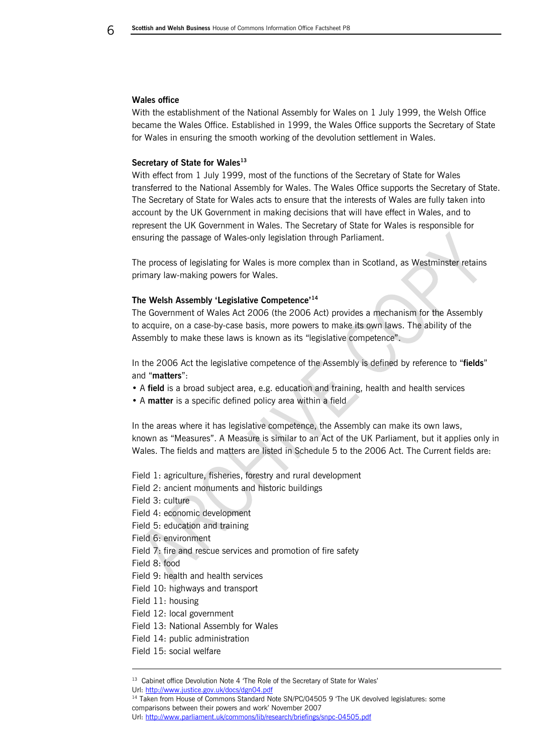#### **Wales office**

With the establishment of the National Assembly for Wales on 1 July 1999, the Welsh Office became the Wales Office. Established in 1999, the Wales Office supports the Secretary of State for Wales in ensuring the smooth working of the devolution settlement in Wales.

### **Secretary of State for Wales<sup>13</sup>**

With effect from 1 July 1999, most of the functions of the Secretary of State for Wales transferred to the National Assembly for Wales. The Wales Office supports the Secretary of State. The Secretary of State for Wales acts to ensure that the interests of Wales are fully taken into account by the UK Government in making decisions that will have effect in Wales, and to represent the UK Government in Wales. The Secretary of State for Wales is responsible for ensuring the passage of Wales-only legislation through Parliament.

The process of legislating for Wales is more complex than in Scotland, as Westminster retains primary law-making powers for Wales.

# **The Welsh Assembly 'Legislative Competence'<sup>14</sup>**

The Government of Wales Act 2006 (the 2006 Act) provides a mechanism for the Assembly to acquire, on a case-by-case basis, more powers to make its own laws. The ability of the Assembly to make these laws is known as its "legislative competence".

In the 2006 Act the legislative competence of the Assembly is defined by reference to "**fields**" and "**matters**":

- A **field** is a broad subject area, e.g. education and training, health and health services
- A **matter** is a specific defined policy area within a field

In the areas where it has legislative competence, the Assembly can make its own laws, known as "Measures". A Measure is similar to an Act of the UK Parliament, but it applies only in Wales. The fields and matters are listed in Schedule 5 to the 2006 Act. The Current fields are:

Field 1: agriculture, fisheries, forestry and rural development

- Field 2: ancient monuments and historic buildings
- Field 3: culture
- Field 4: economic development
- Field 5: education and training

Field 6: environment

- Field 7: fire and rescue services and promotion of fire safety
- Field 8: food

-

- Field 9: health and health services
- Field 10: highways and transport
- Field 11: housing
- Field 12: local government
- Field 13: National Assembly for Wales
- Field 14: public administration
- Field 15: social welfare

Url: <http://www.justice.gov.uk/docs/dgn04.pdf>

<sup>&</sup>lt;sup>13</sup> Cabinet office Devolution Note 4 'The Role of the Secretary of State for Wales'

<sup>&</sup>lt;sup>14</sup> Taken from House of Commons Standard Note SN/PC/04505 9 'The UK devolved legislatures: some comparisons between their powers and work' November 2007

Url[: http://www.parliament.uk/commons/lib/research/briefings/snpc-04505.pdf](http://www.parliament.uk/commons/lib/research/briefings/snpc-04505.pdf)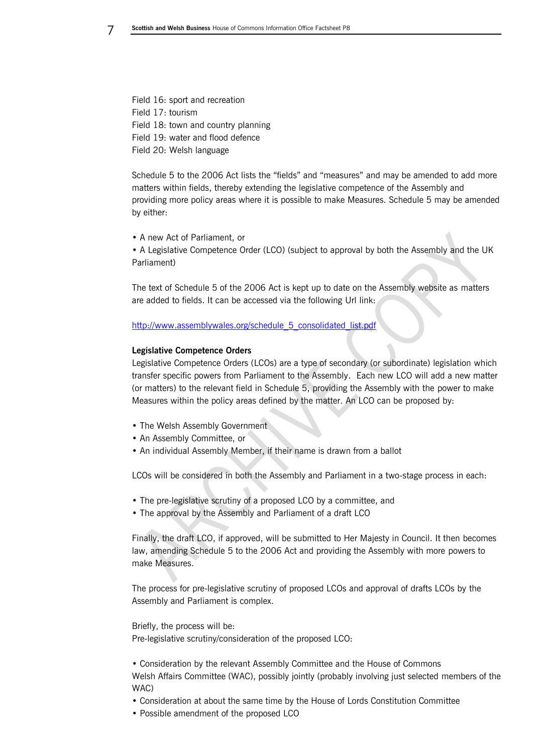Field 16: sport and recreation Field 17: tourism Field 18: town and country planning Field 19: water and flood defence Field 20: Welsh language

Schedule 5 to the 2006 Act lists the "fields" and "measures" and may be amended to add more matters within fields, thereby extending the legislative competence of the Assembly and providing more policy areas where it is possible to make Measures. Schedule 5 may be amended by either:

• A new Act of Parliament, or

• A Legislative Competence Order (LCO) (subject to approval by both the Assembly and the UK Parliament)

The text of Schedule 5 of the 2006 Act is kept up to date on the Assembly website as matters are added to fields. It can be accessed via the following Url link:

[http://www.assemblywales.org/schedule\\_5\\_consolidated\\_list.pdf](http://www.assemblywales.org/schedule_5_consolidated_list.pdf)

# **Legislative Competence Orders**

Legislative Competence Orders (LCOs) are a type of secondary (or subordinate) legislation which transfer specific powers from Parliament to the Assembly. Each new LCO will add a new matter (or matters) to the relevant field in Schedule 5, providing the Assembly with the power to make Measures within the policy areas defined by the matter. An LCO can be proposed by:

- The Welsh Assembly Government
- An Assembly Committee, or
- An individual Assembly Member, if their name is drawn from a ballot

LCOs will be considered in both the Assembly and Parliament in a two-stage process in each:

- The pre-legislative scrutiny of a proposed LCO by a committee, and
- The approval by the Assembly and Parliament of a draft LCO

Finally, the draft LCO, if approved, will be submitted to Her Majesty in Council. It then becomes law, amending Schedule 5 to the 2006 Act and providing the Assembly with more powers to make Measures.

The process for pre-legislative scrutiny of proposed LCOs and approval of drafts LCOs by the Assembly and Parliament is complex.

Briefly, the process will be: Pre-legislative scrutiny/consideration of the proposed LCO:

• Consideration by the relevant Assembly Committee and the House of Commons Welsh Affairs Committee (WAC), possibly jointly (probably involving just selected members of the WAC)

- Consideration at about the same time by the House of Lords Constitution Committee
- Possible amendment of the proposed LCO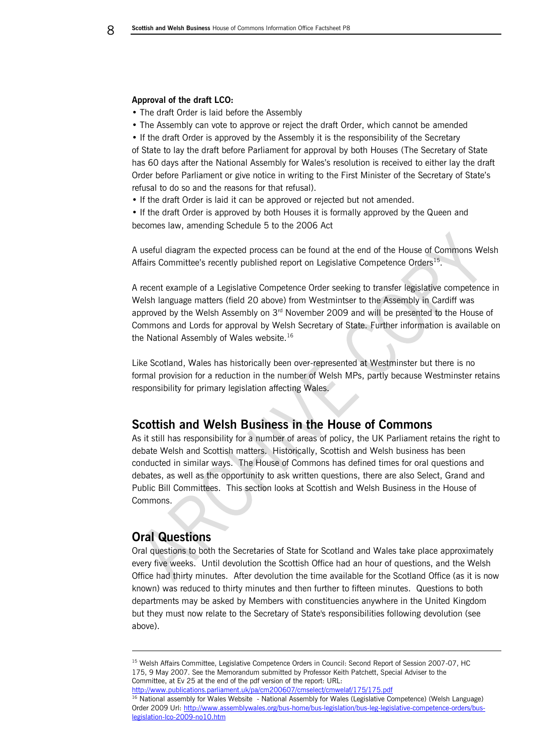#### **Approval of the draft LCO:**

- The draft Order is laid before the Assembly
- The Assembly can vote to approve or reject the draft Order, which cannot be amended

• If the draft Order is approved by the Assembly it is the responsibility of the Secretary of State to lay the draft before Parliament for approval by both Houses (The Secretary of State has 60 days after the National Assembly for Wales's resolution is received to either lay the draft Order before Parliament or give notice in writing to the First Minister of the Secretary of State's refusal to do so and the reasons for that refusal).

• If the draft Order is laid it can be approved or rejected but not amended.

• If the draft Order is approved by both Houses it is formally approved by the Queen and becomes law, amending Schedule 5 to the 2006 Act

A useful diagram the expected process can be found at the end of the House of Commons Welsh Affairs Committee's recently published report on Legislative Competence Orders<sup>15</sup>.

A recent example of a Legislative Competence Order seeking to transfer legislative competence in Welsh language matters (field 20 above) from Westmintser to the Assembly in Cardiff was approved by the Welsh Assembly on  $3<sup>rd</sup>$  November 2009 and will be presented to the House of Commons and Lords for approval by Welsh Secretary of State. Further information is available on the National Assembly of Wales website.<sup>16</sup>

Like Scotland, Wales has historically been over-represented at Westminster but there is no formal provision for a reduction in the number of Welsh MPs, partly because Westminster retains responsibility for primary legislation affecting Wales.

# <span id="page-7-0"></span>**Scottish and Welsh Business in the House of Commons**

As it still has responsibility for a number of areas of policy, the UK Parliament retains the right to debate Welsh and Scottish matters. Historically, Scottish and Welsh business has been conducted in similar ways. The House of Commons has defined times for oral questions and debates, as well as the opportunity to ask written questions, there are also Select, Grand and Public Bill Committees. This section looks at Scottish and Welsh Business in the House of Commons.

# <span id="page-7-1"></span>**Oral Questions**

-

Oral questions to both the Secretaries of State for Scotland and Wales take place approximately every five weeks. Until devolution the Scottish Office had an hour of questions, and the Welsh Office had thirty minutes. After devolution the time available for the Scotland Office (as it is now known) was reduced to thirty minutes and then further to fifteen minutes. Questions to both departments may be asked by Members with constituencies anywhere in the United Kingdom but they must now relate to the Secretary of State's responsibilities following devolution (see above).

<http://www.publications.parliament.uk/pa/cm200607/cmselect/cmwelaf/175/175.pdf>

<sup>&</sup>lt;sup>15</sup> Welsh Affairs Committee, Legislative Competence Orders in Council: Second Report of Session 2007-07, HC 175, 9 May 2007. See the Memorandum submitted by Professor Keith Patchett, Special Adviser to the Committee, at Ev 25 at the end of the pdf version of the report: URL:

<sup>&</sup>lt;sup>16</sup> National assembly for Wales Website - National Assembly for Wales (Legislative Competence) (Welsh Language) Order 2009 Url: [http://www.assemblywales.org/bus-home/bus-legislation/bus-leg-legislative-competence-orders/bus](http://www.assemblywales.org/bus-home/bus-legislation/bus-leg-legislative-competence-orders/bus-legislation-lco-2009-no10.htm)[legislation-lco-2009-no10.htm](http://www.assemblywales.org/bus-home/bus-legislation/bus-leg-legislative-competence-orders/bus-legislation-lco-2009-no10.htm)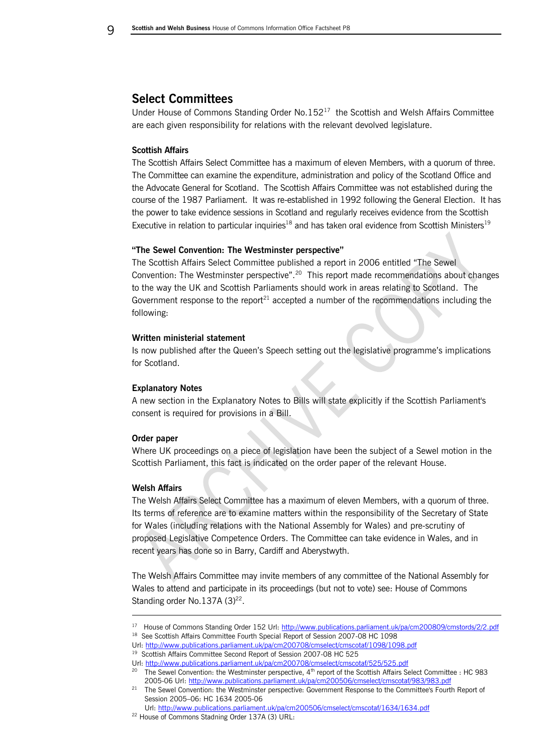**C** Scottish and Welsh Business House of Commons Information Office Factsheet P8

# <span id="page-8-0"></span>**Select Committees**

Under House of Commons Standing Order No.152<sup>17</sup> the Scottish and Welsh Affairs Committee are each given responsibility for relations with the relevant devolved legislature.

### **Scottish Affairs**

The Scottish Affairs Select Committee has a maximum of eleven Members, with a quorum of three. The Committee can examine the expenditure, administration and policy of the Scotland Office and the Advocate General for Scotland. The Scottish Affairs Committee was not established during the course of the 1987 Parliament. It was re-established in 1992 following the General Election. It has the power to take evidence sessions in Scotland and regularly receives evidence from the Scottish Executive in relation to particular inquiries<sup>18</sup> and has taken oral evidence from Scottish Ministers<sup>19</sup>

### **"The Sewel Convention: The Westminster perspective"**

The Scottish Affairs Select Committee published a report in 2006 entitled "The Sewel Convention: The Westminster perspective".<sup>20</sup> This report made recommendations about changes to the way the UK and Scottish Parliaments should work in areas relating to Scotland. The Government response to the report<sup>21</sup> accepted a number of the recommendations including the following:

### **Written ministerial statement**

Is now published after the Queen's Speech setting out the legislative programme's implications for Scotland.

### **Explanatory Notes**

A new section in the Explanatory Notes to Bills will state explicitly if the Scottish Parliament's consent is required for provisions in a Bill.

### **Order paper**

Where UK proceedings on a piece of legislation have been the subject of a Sewel motion in the Scottish Parliament, this fact is indicated on the order paper of the relevant House.

### **Welsh Affairs**

-

The Welsh Affairs Select Committee has a maximum of eleven Members, with a quorum of three. Its terms of reference are to examine matters within the responsibility of the Secretary of State for Wales (including relations with the National Assembly for Wales) and pre-scrutiny of proposed Legislative Competence Orders. The Committee can take evidence in Wales, and in recent years has done so in Barry, Cardiff and Aberystwyth.

The Welsh Affairs Committee may invite members of any committee of the National Assembly for Wales to attend and participate in its proceedings (but not to vote) see: House of Commons Standing order No.137A  $(3)^{22}$ .

<sup>&</sup>lt;sup>17</sup> House of Commons Standing Order 152 Url[: http://www.publications.parliament.uk/pa/cm200809/cmstords/2/2.pdf](http://www.publications.parliament.uk/pa/cm200809/cmstords/2/2.pdf)

<sup>&</sup>lt;sup>18</sup> See Scottish Affairs Committee Fourth Special Report of Session 2007-08 HC 1098

Url[: http://www.publications.parliament.uk/pa/cm200708/cmselect/cmscotaf/1098/1098.pdf](http://www.publications.parliament.uk/pa/cm200708/cmselect/cmscotaf/1098/1098.pdf)

<sup>&</sup>lt;sup>19</sup> Scottish Affairs Committee Second Report of Session 2007-08 HC 525

Url[: http://www.publications.parliament.uk/pa/cm200708/cmselect/cmscotaf/525/525.pdf](http://www.publications.parliament.uk/pa/cm200708/cmselect/cmscotaf/525/525.pdf) <sup>20</sup> The Sewel Convention: the Westminster perspective, 4<sup>th</sup> report of the Scottish Affairs Select Committee : HC 983 2005-06 Url[: http://www.publications.parliament.uk/pa/cm200506/cmselect/cmscotaf/983/983.pdf](http://www.publications.parliament.uk/pa/cm200506/cmselect/cmscotaf/983/983.pdf)

<sup>&</sup>lt;sup>21</sup> The Sewel Convention: the Westminster perspective: Government Response to the Committee's Fourth Report of Session 2005–06: HC 1634 2005-06

Url[: http://www.publications.parliament.uk/pa/cm200506/cmselect/cmscotaf/1634/1634.pdf](http://www.publications.parliament.uk/pa/cm200506/cmselect/cmscotaf/1634/1634.pdf)

<sup>22</sup> House of Commons Stadning Order 137A (3) URL: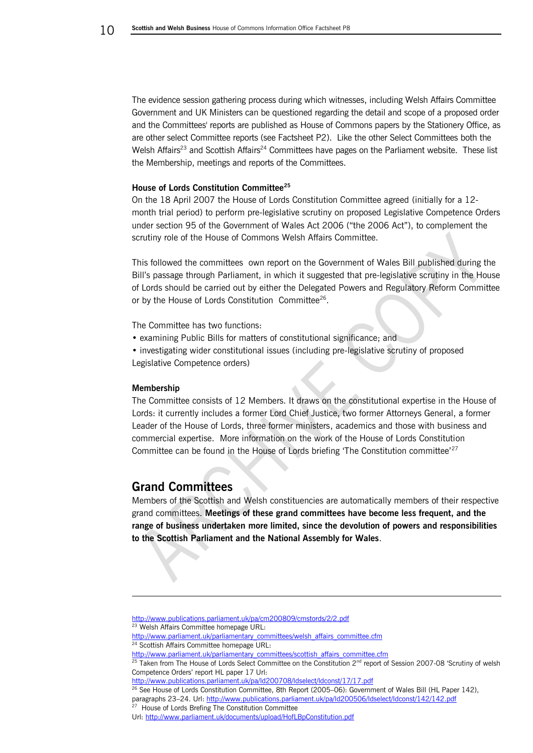The evidence session gathering process during which witnesses, including Welsh Affairs Committee Government and UK Ministers can be questioned regarding the detail and scope of a proposed order and the Committees' reports are published as House of Commons papers by the Stationery Office, as are other select Committee reports (see Factsheet P2). Like the other Select Committees both the Welsh Affairs<sup>23</sup> and Scottish Affairs<sup>24</sup> Committees have pages on the Parliament website. These list the Membership, meetings and reports of the Committees.

### **House of Lords Constitution Committee<sup>25</sup>**

On the 18 April 2007 the House of Lords Constitution Committee agreed (initially for a 12 month trial period) to perform pre-legislative scrutiny on proposed Legislative Competence Orders under section 95 of the Government of Wales Act 2006 ("the 2006 Act"), to complement the scrutiny role of the House of Commons Welsh Affairs Committee.

This followed the committees own report on the Government of Wales Bill published during the Bill's passage through Parliament, in which it suggested that pre-legislative scrutiny in the House of Lords should be carried out by either the Delegated Powers and Regulatory Reform Committee or by the House of Lords Constitution Committee<sup>26</sup>.

The Committee has two functions:

• examining Public Bills for matters of constitutional significance; and

• investigating wider constitutional issues (including pre-legislative scrutiny of proposed Legislative Competence orders)

### **Membership**

-

The Committee consists of 12 Members. It draws on the constitutional expertise in the House of Lords: it currently includes a former Lord Chief Justice, two former Attorneys General, a former Leader of the House of Lords, three former ministers, academics and those with business and commercial expertise. More information on the work of the House of Lords Constitution Committee can be found in the House of Lords briefing 'The Constitution committee'<sup>27</sup>

# **Grand Committees**

Members of the Scottish and Welsh constituencies are automatically members of their respective grand committees. **Meetings of these grand committees have become less frequent, and the range of business undertaken more limited, since the devolution of powers and responsibilities to the Scottish Parliament and the National Assembly for Wales**.

<http://www.publications.parliament.uk/pa/cm200809/cmstords/2/2.pdf>

<http://www.publications.parliament.uk/pa/ld200708/ldselect/ldconst/17/17.pdf>

<sup>26</sup> See House of Lords Constitution Committee, 8th Report (2005-06): Government of Wales Bill (HL Paper 142), paragraphs 23-24. Url:<http://www.publications.parliament.uk/pa/ld200506/ldselect/ldconst/142/142.pdf>

<sup>&</sup>lt;sup>23</sup> Welsh Affairs Committee homepage URL:

[http://www.parliament.uk/parliamentary\\_committees/welsh\\_affairs\\_committee.cfm](http://www.parliament.uk/parliamentary_committees/welsh_affairs_committee.cfm) <sup>24</sup> Scottish Affairs Committee homepage URL:

[http://www.parliament.uk/parliamentary\\_committees/scottish\\_affairs\\_committee.cfm](http://www.parliament.uk/parliamentary_committees/scottish_affairs_committee.cfm)

<sup>&</sup>lt;sup>25</sup> Taken from The House of Lords Select Committee on the Constitution 2<sup>nd</sup> report of Session 2007-08 'Scrutiny of welsh Competence Orders' report HL paper 17 Url:

<sup>&</sup>lt;sup>27</sup> House of Lords Brefing The Constitution Committee

Url[: http://www.parliament.uk/documents/upload/HofLBpConstitution.pdf](http://www.parliament.uk/documents/upload/HofLBpConstitution.pdf)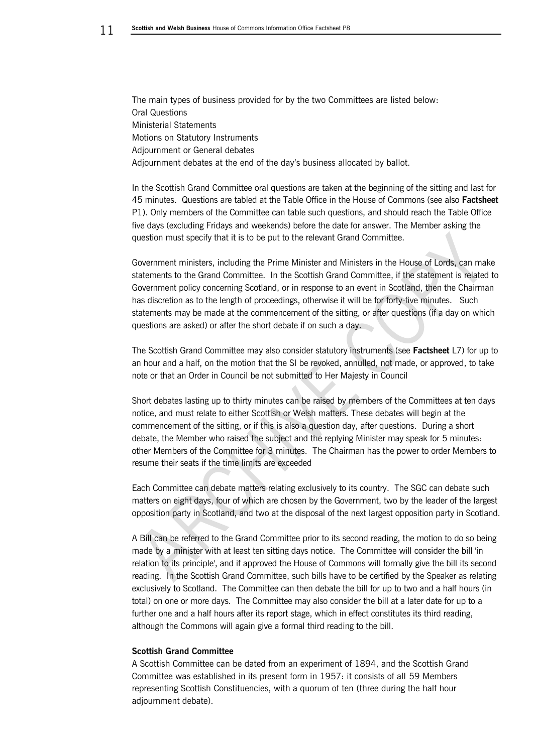The main types of business provided for by the two Committees are listed below: Oral Questions Ministerial Statements Motions on Statutory Instruments Adjournment or General debates Adjournment debates at the end of the day's business allocated by ballot.

In the Scottish Grand Committee oral questions are taken at the beginning of the sitting and last for 45 minutes. Questions are tabled at the Table Office in the House of Commons (see also **Factsheet**  P1). Only members of the Committee can table such questions, and should reach the Table Office five days (excluding Fridays and weekends) before the date for answer. The Member asking the question must specify that it is to be put to the relevant Grand Committee.

Government ministers, including the Prime Minister and Ministers in the House of Lords, can make statements to the Grand Committee. In the Scottish Grand Committee, if the statement is related to Government policy concerning Scotland, or in response to an event in Scotland, then the Chairman has discretion as to the length of proceedings, otherwise it will be for forty-five minutes. Such statements may be made at the commencement of the sitting, or after questions (if a day on which questions are asked) or after the short debate if on such a day.

The Scottish Grand Committee may also consider statutory instruments (see **Factsheet** L7) for up to an hour and a half, on the motion that the SI be revoked, annulled, not made, or approved, to take note or that an Order in Council be not submitted to Her Majesty in Council

Short debates lasting up to thirty minutes can be raised by members of the Committees at ten days notice, and must relate to either Scottish or Welsh matters. These debates will begin at the commencement of the sitting, or if this is also a question day, after questions. During a short debate, the Member who raised the subject and the replying Minister may speak for 5 minutes: other Members of the Committee for 3 minutes. The Chairman has the power to order Members to resume their seats if the time limits are exceeded

Each Committee can debate matters relating exclusively to its country. The SGC can debate such matters on eight days, four of which are chosen by the Government, two by the leader of the largest opposition party in Scotland, and two at the disposal of the next largest opposition party in Scotland.

A Bill can be referred to the Grand Committee prior to its second reading, the motion to do so being made by a minister with at least ten sitting days notice. The Committee will consider the bill 'in relation to its principle', and if approved the House of Commons will formally give the bill its second reading. In the Scottish Grand Committee, such bills have to be certified by the Speaker as relating exclusively to Scotland. The Committee can then debate the bill for up to two and a half hours (in total) on one or more days. The Committee may also consider the bill at a later date for up to a further one and a half hours after its report stage, which in effect constitutes its third reading, although the Commons will again give a formal third reading to the bill.

# <span id="page-10-0"></span>**Scottish Grand Committee**

A Scottish Committee can be dated from an experiment of 1894, and the Scottish Grand Committee was established in its present form in 1957: it consists of all 59 Members representing Scottish Constituencies, with a quorum of ten (three during the half hour adiournment debate).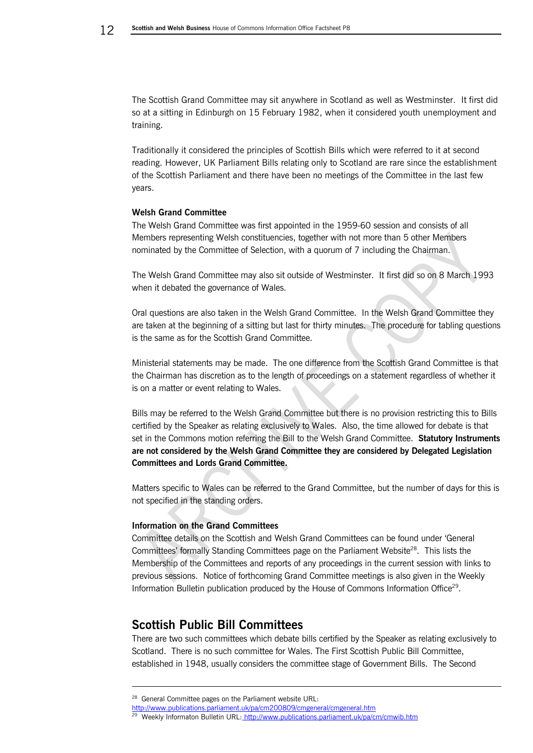The Scottish Grand Committee may sit anywhere in Scotland as well as Westminster. It first did so at a sitting in Edinburgh on 15 February 1982, when it considered youth unemployment and training.

Traditionally it considered the principles of Scottish Bills which were referred to it at second reading. However, UK Parliament Bills relating only to Scotland are rare since the establishment of the Scottish Parliament and there have been no meetings of the Committee in the last few years.

### <span id="page-11-0"></span>**Welsh Grand Committee**

The Welsh Grand Committee was first appointed in the 1959-60 session and consists of all Members representing Welsh constituencies, together with not more than 5 other Members nominated by the Committee of Selection, with a quorum of 7 including the Chairman.

The Welsh Grand Committee may also sit outside of Westminster. It first did so on 8 March 1993 when it debated the governance of Wales.

Oral questions are also taken in the Welsh Grand Committee. In the Welsh Grand Committee they are taken at the beginning of a sitting but last for thirty minutes. The procedure for tabling questions is the same as for the Scottish Grand Committee.

Ministerial statements may be made. The one difference from the Scottish Grand Committee is that the Chairman has discretion as to the length of proceedings on a statement regardless of whether it is on a matter or event relating to Wales.

Bills may be referred to the Welsh Grand Committee but there is no provision restricting this to Bills certified by the Speaker as relating exclusively to Wales. Also, the time allowed for debate is that set in the Commons motion referring the Bill to the Welsh Grand Committee. **Statutory Instruments are not considered by the Welsh Grand Committee they are considered by Delegated Legislation Committees and Lords Grand Committee.**

Matters specific to Wales can be referred to the Grand Committee, but the number of days for this is not specified in the standing orders.

# <span id="page-11-1"></span>**Information on the Grand Committees**

Committee details on the Scottish and Welsh Grand Committees can be found under 'General Committees' formally Standing Committees page on the Parliament Website<sup>28</sup>. This lists the Membership of the Committees and reports of any proceedings in the current session with links to previous sessions. Notice of forthcoming Grand Committee meetings is also given in the Weekly Information Bulletin publication produced by the House of Commons Information Office<sup>29</sup>.

# <span id="page-11-2"></span>**Scottish Public Bill Committees**

There are two such committees which debate bills certified by the Speaker as relating exclusively to Scotland. There is no such committee for Wales. The First Scottish Public Bill Committee, established in 1948, usually considers the committee stage of Government Bills. The Second

-

<sup>&</sup>lt;sup>28</sup> General Committee pages on the Parliament website URL:

<http://www.publications.parliament.uk/pa/cm200809/cmgeneral/cmgeneral.htm>

<sup>&</sup>lt;sup>29</sup> Weekly Informaton Bulletin URL: <http://www.publications.parliament.uk/pa/cm/cmwib.htm>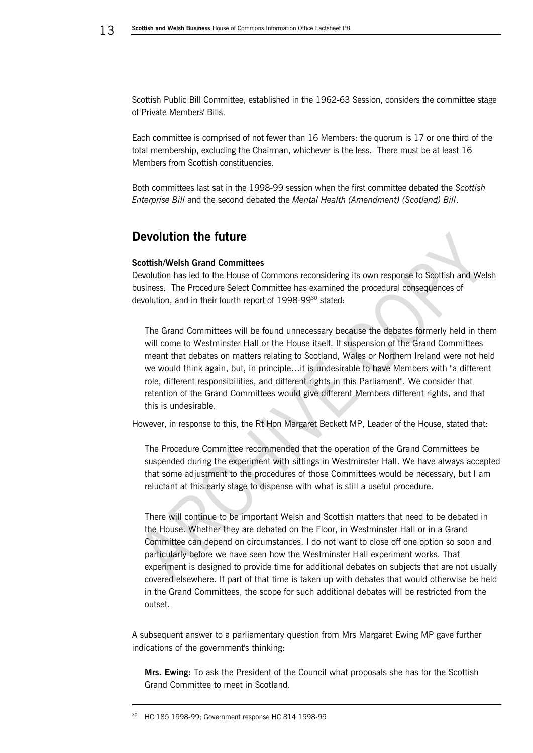Scottish Public Bill Committee, established in the 1962-63 Session, considers the committee stage of Private Members' Bills.

Each committee is comprised of not fewer than 16 Members: the quorum is 17 or one third of the total membership, excluding the Chairman, whichever is the less. There must be at least 16 Members from Scottish constituencies.

<span id="page-12-0"></span>Both committees last sat in the 1998-99 session when the first committee debated the *Scottish Enterprise Bill* and the second debated the *Mental Health (Amendment) (Scotland) Bill*.

# **Devolution the future**

### **Scottish/Welsh Grand Committees**

Devolution has led to the House of Commons reconsidering its own response to Scottish and Welsh business. The Procedure Select Committee has examined the procedural consequences of devolution, and in their fourth report of 1998-99<sup>30</sup> stated:

The Grand Committees will be found unnecessary because the debates formerly held in them will come to Westminster Hall or the House itself. If suspension of the Grand Committees meant that debates on matters relating to Scotland, Wales or Northern Ireland were not held we would think again, but, in principle…it is undesirable to have Members with "a different role, different responsibilities, and different rights in this Parliament". We consider that retention of the Grand Committees would give different Members different rights, and that this is undesirable.

However, in response to this, the Rt Hon Margaret Beckett MP, Leader of the House, stated that:

The Procedure Committee recommended that the operation of the Grand Committees be suspended during the experiment with sittings in Westminster Hall. We have always accepted that some adjustment to the procedures of those Committees would be necessary, but I am reluctant at this early stage to dispense with what is still a useful procedure.

There will continue to be important Welsh and Scottish matters that need to be debated in the House. Whether they are debated on the Floor, in Westminster Hall or in a Grand Committee can depend on circumstances. I do not want to close off one option so soon and particularly before we have seen how the Westminster Hall experiment works. That experiment is designed to provide time for additional debates on subjects that are not usually covered elsewhere. If part of that time is taken up with debates that would otherwise be held in the Grand Committees, the scope for such additional debates will be restricted from the outset.

A subsequent answer to a parliamentary question from Mrs Margaret Ewing MP gave further indications of the government's thinking:

**Mrs. Ewing:** To ask the President of the Council what proposals she has for the Scottish Grand Committee to meet in Scotland.

-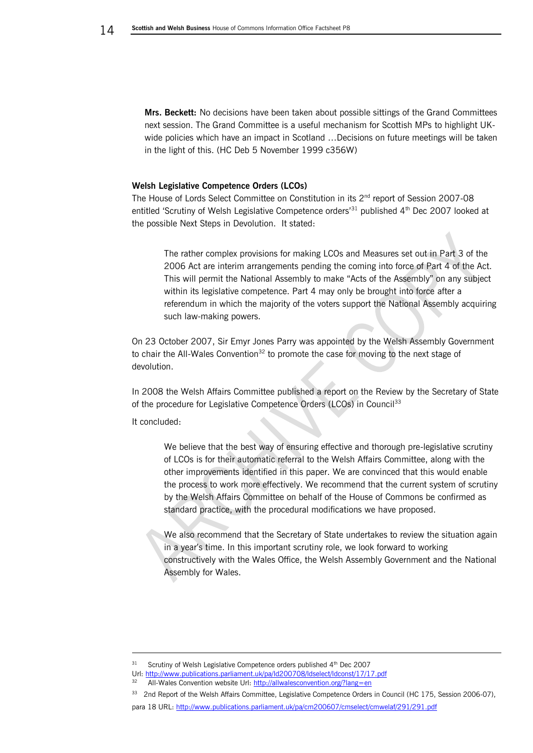**Mrs. Beckett:** No decisions have been taken about possible sittings of the Grand Committees next session. The Grand Committee is a useful mechanism for Scottish MPs to highlight UKwide policies which have an impact in Scotland …Decisions on future meetings will be taken in the light of this. (HC Deb 5 November 1999 c356W)

### **Welsh Legislative Competence Orders (LCOs)**

The House of Lords Select Committee on Constitution in its  $2^{nd}$  report of Session 2007-08 entitled 'Scrutiny of Welsh Legislative Competence orders<sup>'31</sup> published 4<sup>th</sup> Dec 2007 looked at the possible Next Steps in Devolution. It stated:

The rather complex provisions for making LCOs and Measures set out in Part 3 of the 2006 Act are interim arrangements pending the coming into force of Part 4 of the Act. This will permit the National Assembly to make "Acts of the Assembly" on any subject within its legislative competence. Part 4 may only be brought into force after a referendum in which the majority of the voters support the National Assembly acquiring such law-making powers.

On 23 October 2007, Sir Emyr Jones Parry was appointed by the Welsh Assembly Government to chair the All-Wales Convention<sup>32</sup> to promote the case for moving to the next stage of devolution.

In 2008 the Welsh Affairs Committee published a report on the Review by the Secretary of State of the procedure for Legislative Competence Orders (LCOs) in Council<sup>33</sup>

It concluded:

-

We believe that the best way of ensuring effective and thorough pre-legislative scrutiny of LCOs is for their automatic referral to the Welsh Affairs Committee, along with the other improvements identified in this paper. We are convinced that this would enable the process to work more effectively. We recommend that the current system of scrutiny by the Welsh Affairs Committee on behalf of the House of Commons be confirmed as standard practice, with the procedural modifications we have proposed.

We also recommend that the Secretary of State undertakes to review the situation again in a year's time. In this important scrutiny role, we look forward to working constructively with the Wales Office, the Welsh Assembly Government and the National Assembly for Wales.

<sup>31</sup> Scrutiny of Welsh Legislative Competence orders published 4<sup>th</sup> Dec 2007

Url[: http://www.publications.parliament.uk/pa/ld200708/ldselect/ldconst/17/17.pdf](http://www.publications.parliament.uk/pa/ld200708/ldselect/ldconst/17/17.pdf)

<sup>32</sup> All-Wales Convention website Url:<http://allwalesconvention.org/?lang=en>

<sup>&</sup>lt;sup>33</sup> 2nd Report of the Welsh Affairs Committee, Legislative Competence Orders in Council (HC 175, Session 2006-07), para 18 URL:<http://www.publications.parliament.uk/pa/cm200607/cmselect/cmwelaf/291/291.pdf>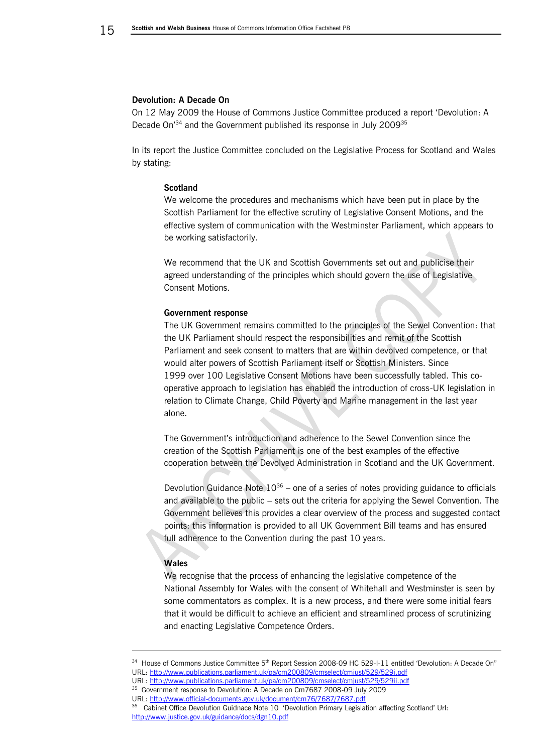#### **Devolution: A Decade On**

On 12 May 2009 the House of Commons Justice Committee produced a report 'Devolution: A Decade On<sup>'34</sup> and the Government published its response in July 2009<sup>35</sup>

In its report the Justice Committee concluded on the Legislative Process for Scotland and Wales by stating:

### **Scotland**

We welcome the procedures and mechanisms which have been put in place by the Scottish Parliament for the effective scrutiny of Legislative Consent Motions, and the effective system of communication with the Westminster Parliament, which appears to be working satisfactorily.

We recommend that the UK and Scottish Governments set out and publicise their agreed understanding of the principles which should govern the use of Legislative Consent Motions.

#### **Government response**

The UK Government remains committed to the principles of the Sewel Convention: that the UK Parliament should respect the responsibilities and remit of the Scottish Parliament and seek consent to matters that are within devolved competence, or that would alter powers of Scottish Parliament itself or Scottish Ministers. Since 1999 over 100 Legislative Consent Motions have been successfully tabled. This cooperative approach to legislation has enabled the introduction of cross-UK legislation in relation to Climate Change, Child Poverty and Marine management in the last year alone.

The Government's introduction and adherence to the Sewel Convention since the creation of the Scottish Parliament is one of the best examples of the effective cooperation between the Devolved Administration in Scotland and the UK Government.

Devolution Guidance Note  $10^{36}$  – one of a series of notes providing guidance to officials and available to the public – sets out the criteria for applying the Sewel Convention. The Government believes this provides a clear overview of the process and suggested contact points: this information is provided to all UK Government Bill teams and has ensured full adherence to the Convention during the past 10 years.

### **Wales**

-

We recognise that the process of enhancing the legislative competence of the National Assembly for Wales with the consent of Whitehall and Westminster is seen by some commentators as complex. It is a new process, and there were some initial fears that it would be difficult to achieve an efficient and streamlined process of scrutinizing and enacting Legislative Competence Orders.

<sup>&</sup>lt;sup>34</sup> House of Commons Justice Committee 5<sup>th</sup> Report Session 2008-09 HC 529-I-11 entitled 'Devolution: A Decade On" URL:<http://www.publications.parliament.uk/pa/cm200809/cmselect/cmjust/529/529i.pdf>

URL: <http://www.publications.parliament.uk/pa/cm200809/cmselect/cmjust/529/529ii.pdf> <sup>35</sup> Government response to Devolution: A Decade on Cm7687 2008-09 July 2009

URL:<http://www.official-documents.gov.uk/document/cm76/7687/7687.pdf>

<sup>&</sup>lt;sup>36</sup> Cabinet Office Devolution Guidnace Note 10 'Devolution Primary Legislation affecting Scotland' Url: <http://www.justice.gov.uk/guidance/docs/dgn10.pdf>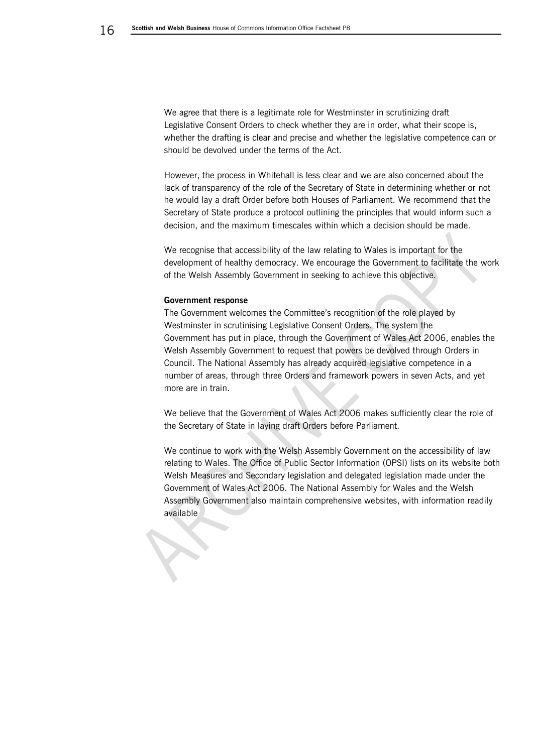We agree that there is a legitimate role for Westminster in scrutinizing draft Legislative Consent Orders to check whether they are in order, what their scope is, whether the drafting is clear and precise and whether the legislative competence can or should be devolved under the terms of the Act.

However, the process in Whitehall is less clear and we are also concerned about the lack of transparency of the role of the Secretary of State in determining whether or not he would lay a draft Order before both Houses of Parliament. We recommend that the Secretary of State produce a protocol outlining the principles that would inform such a decision, and the maximum timescales within which a decision should be made.

We recognise that accessibility of the law relating to Wales is important for the development of healthy democracy. We encourage the Government to facilitate the work of the Welsh Assembly Government in seeking to achieve this objective.

#### **Government response**

The Government welcomes the Committee's recognition of the role played by Westminster in scrutinising Legislative Consent Orders. The system the Government has put in place, through the Government of Wales Act 2006, enables the Welsh Assembly Government to request that powers be devolved through Orders in Council. The National Assembly has already acquired legislative competence in a number of areas, through three Orders and framework powers in seven Acts, and yet more are in train.

We believe that the Government of Wales Act 2006 makes sufficiently clear the role of the Secretary of State in laying draft Orders before Parliament.

We continue to work with the Welsh Assembly Government on the accessibility of law relating to Wales. The Office of Public Sector Information (OPSI) lists on its website both Welsh Measures and Secondary legislation and delegated legislation made under the Government of Wales Act 2006. The National Assembly for Wales and the Welsh Assembly Government also maintain comprehensive websites, with information readily available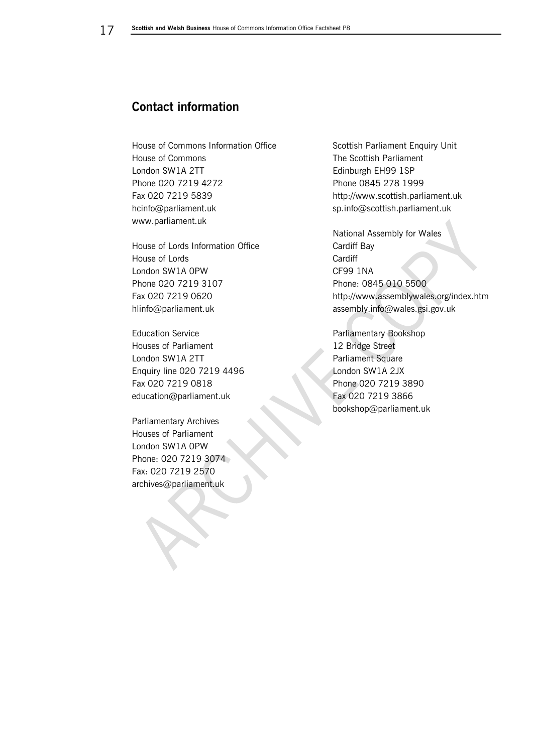# <span id="page-16-0"></span>**Contact information**

House of Commons Information Office House of Commons London SW1A 2TT Phone 020 7219 4272 Fax 020 7219 5839 hcinfo@parliament.uk www.parliament.uk

House of Lords Information Office House of Lords London SW1A 0PW Phone 020 7219 3107 Fax 020 7219 0620 hlinfo@parliament.uk

Education Service Houses of Parliament London SW1A 2TT Enquiry line 020 7219 4496 Fax 020 7219 0818 education@parliament.uk

Parliamentary Archives Houses of Parliament London SW1A 0PW Phone: 020 7219 3074 Fax: 020 7219 2570 archives@parliament.uk

Scottish Parliament Enquiry Unit The Scottish Parliament Edinburgh EH99 1SP Phone 0845 278 1999 http://www.scottish.parliament.uk sp.info@scottish.parliament.uk

National Assembly for Wales Cardiff Bay **Cardiff** CF99 1NA Phone: 0845 010 5500 http://www.assemblywales.org/index.htm assembly.info@wales.gsi.gov.uk

Parliamentary Bookshop 12 Bridge Street Parliament Square London SW1A 2JX Phone 020 7219 3890 Fax 020 7219 3866 bookshop@parliament.uk